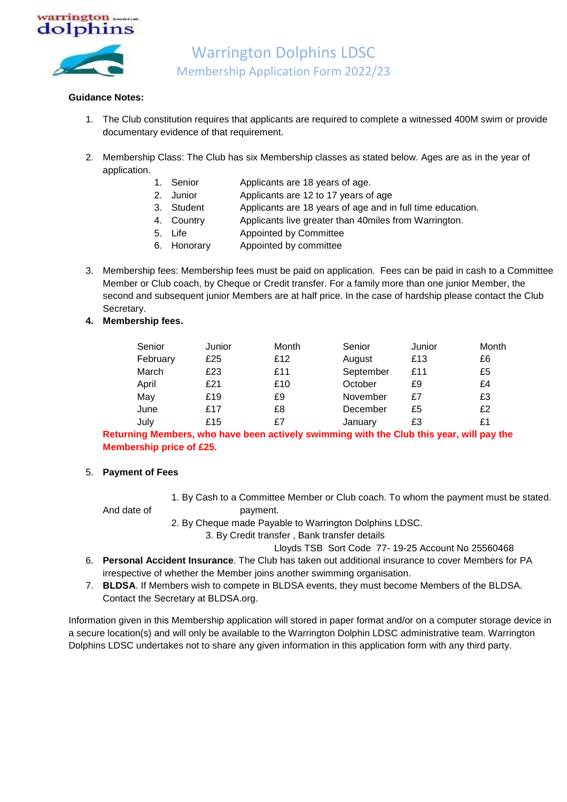

## **Guidance Notes:**

- 1. The Club constitution requires that applicants are required to complete a witnessed 400M swim or provide documentary evidence of that requirement.
- 2. Membership Class: The Club has six Membership classes as stated below. Ages are as in the year of application.
	- 1. Senior Applicants are 18 years of age.
	- 2. Junior Applicants are 12 to 17 years of age
	- 3. Student Applicants are 18 years of age and in full time education.
	- 4. Country Applicants live greater than 40miles from Warrington.
	- 5. Life Appointed by Committee
	- 6. Honorary Appointed by committee
- 3. Membership fees: Membership fees must be paid on application. Fees can be paid in cash to a Committee Member or Club coach, by Cheque or Credit transfer. For a family more than one junior Member, the second and subsequent junior Members are at half price. In the case of hardship please contact the Club Secretary.
- **4. Membership fees.**

| Senior   | Junior | Month | Senior    | Junior | Month |
|----------|--------|-------|-----------|--------|-------|
| February | £25    | £12   | August    | £13    | £6    |
| March    | £23    | £11   | September | £11    | £5    |
| April    | £21    | £10   | October   | £9     | £4    |
| May      | £19    | £9    | November  | £7     | £3    |
| June     | £17    | £8    | December  | £5     | £2    |
| July     | £15    | £7    | January   | £3     | £1    |

**Returning Members, who have been actively swimming with the Club this year, will pay the Membership price of £25.**

## 5. **Payment of Fees**

- 1. By Cash to a Committee Member or Club coach. To whom the payment must be stated. And date of payment.
- 
- 2. By Cheque made Payable to Warrington Dolphins LDSC.
	-

3. By Credit transfer , Bank transfer details

- Lloyds TSB Sort Code 77- 19-25 Account No 25560468
- 6. **Personal Accident Insurance**. The Club has taken out additional insurance to cover Members for PA irrespective of whether the Member joins another swimming organisation.
- 7. **BLDSA**. If Members wish to compete in BLDSA events, they must become Members of the BLDSA. Contact the Secretary at BLDSA.org.

Information given in this Membership application will stored in paper format and/or on a computer storage device in a secure location(s) and will only be available to the Warrington Dolphin LDSC administrative team. Warrington Dolphins LDSC undertakes not to share any given information in this application form with any third party.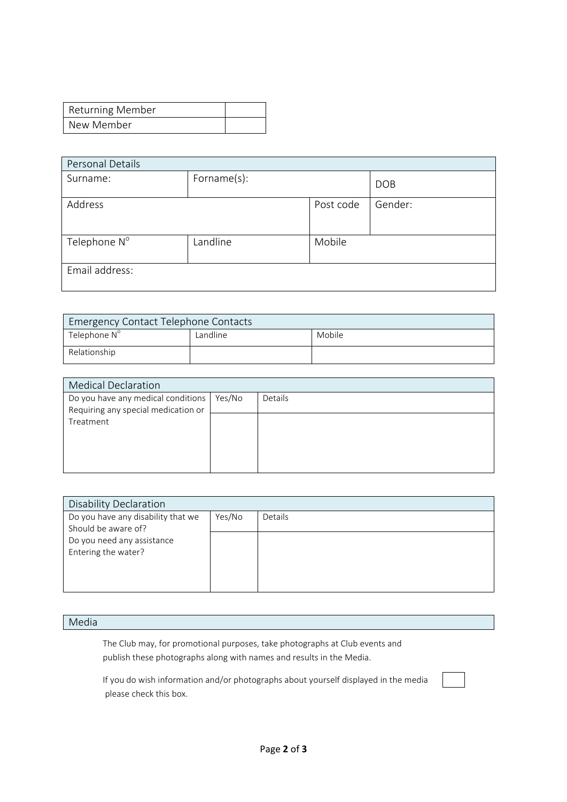| <b>Returning Member</b> |  |
|-------------------------|--|
| New Member              |  |

| Personal Details         |             |           |            |  |
|--------------------------|-------------|-----------|------------|--|
| Surname:                 | Forname(s): |           | <b>DOB</b> |  |
| Address                  |             | Post code | Gender:    |  |
| Telephone N <sup>o</sup> | Landline    | Mobile    |            |  |
| Email address:           |             |           |            |  |

| <b>Emergency Contact Telephone Contacts</b> |          |        |  |  |
|---------------------------------------------|----------|--------|--|--|
| Telephone N <sup>o</sup>                    | Landline | Mobile |  |  |
| Relationship                                |          |        |  |  |

| <b>Medical Declaration</b>          |        |         |  |  |
|-------------------------------------|--------|---------|--|--|
| Do you have any medical conditions  | Yes/No | Details |  |  |
| Requiring any special medication or |        |         |  |  |
| Treatment                           |        |         |  |  |
|                                     |        |         |  |  |
|                                     |        |         |  |  |
|                                     |        |         |  |  |
|                                     |        |         |  |  |

| <b>Disability Declaration</b>      |        |         |  |  |  |
|------------------------------------|--------|---------|--|--|--|
| Do you have any disability that we | Yes/No | Details |  |  |  |
| Should be aware of?                |        |         |  |  |  |
| Do you need any assistance         |        |         |  |  |  |
| Entering the water?                |        |         |  |  |  |
|                                    |        |         |  |  |  |
|                                    |        |         |  |  |  |
|                                    |        |         |  |  |  |

# Media

The Club may, for promotional purposes, take photographs at Club events and publish these photographs along with names and results in the Media.

If you do wish information and/or photographs about yourself displayed in the media please check this box.